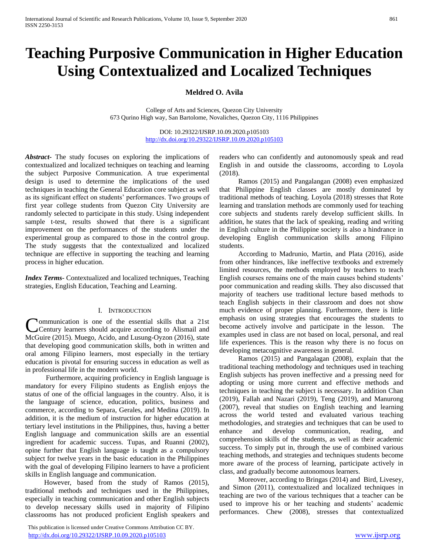# **Teaching Purposive Communication in Higher Education Using Contextualized and Localized Techniques**

# **Meldred O. Avila**

College of Arts and Sciences, Quezon City University 673 Qurino High way, San Bartolome, Novaliches, Quezon City, 1116 Philippines

> DOI: 10.29322/IJSRP.10.09.2020.p105103 <http://dx.doi.org/10.29322/IJSRP.10.09.2020.p105103>

*Abstract***-** The study focuses on exploring the implications of contextualized and localized techniques on teaching and learning the subject Purposive Communication. A true experimental design is used to determine the implications of the used techniques in teaching the General Education core subject as well as its significant effect on students' performances. Two groups of first year college students from Quezon City University are randomly selected to participate in this study. Using independent sample t-test, results showed that there is a significant improvement on the performances of the students under the experimental group as compared to those in the control group. The study suggests that the contextualized and localized technique are effective in supporting the teaching and learning process in higher education.

*Index Terms*- Contextualized and localized techniques, Teaching strategies, English Education, Teaching and Learning.

### I. INTRODUCTION

ommunication is one of the essential skills that a 21st Century learners should acquire according to Alismail and **Communication is one of the essential skills that a 21st** Century learners should acquire according to Alismail and McGuire (2015). Muego, Acido, and Lusung-Oyzon (2016), state that developing good communication skills, both in written and oral among Filipino learners, most especially in the tertiary education is pivotal for ensuring success in education as well as in professional life in the modern world.

Furthermore, acquiring proficiency in English language is mandatory for every Filipino students as English enjoys the status of one of the official languages in the country. Also, it is the language of science, education, politics, business and commerce, according to Separa, Gerales, and Medina (2019). In addition, it is the medium of instruction for higher education at tertiary level institutions in the Philippines, thus, having a better English language and communication skills are an essential ingredient for academic success. Tupas, and Ruanni (2002), opine further that English language is taught as a compulsory subject for twelve years in the basic education in the Philippines with the goal of developing Filipino learners to have a proficient skills in English language and communication.

However, based from the study of Ramos (2015), traditional methods and techniques used in the Philippines, especially in teaching communication and other English subjects to develop necessary skills used in majority of Filipino classrooms has not produced proficient English speakers and

 This publication is licensed under Creative Commons Attribution CC BY. <http://dx.doi.org/10.29322/IJSRP.10.09.2020.p105103> [www.ijsrp.org](http://ijsrp.org/)

readers who can confidently and autonomously speak and read English in and outside the classrooms, according to Loyola (2018).

Ramos (2015) and Pangalangan (2008) even emphasized that Philippine English classes are mostly dominated by traditional methods of teaching. Loyola (2018) stresses that Rote learning and translation methods are commonly used for teaching core subjects and students rarely develop sufficient skills. In addition, he states that the lack of speaking, reading and writing in English culture in the Philippine society is also a hindrance in developing English communication skills among Filipino students.

According to Madrunio, Martin, and Plata (2016), aside from other hindrances, like ineffective textbooks and extremely limited resources, the methods employed by teachers to teach English courses remains one of the main causes behind students' poor communication and reading skills. They also discussed that majority of teachers use traditional lecture based methods to teach English subjects in their classroom and does not show much evidence of proper planning. Furthermore, there is little emphasis on using strategies that encourages the students to become actively involve and participate in the lesson. The examples used in class are not based on local, personal, and real life experiences. This is the reason why there is no focus on developing metacognitive awareness in general.

Ramos (2015) and Pangalagan (2008), explain that the traditional teaching methodology and techniques used in teaching English subjects has proven ineffective and a pressing need for adopting or using more current and effective methods and techniques in teaching the subject is necessary. In addition Chan (2019), Fallah and Nazari (2019), Teng (2019), and Manurong (2007), reveal that studies on English teaching and learning across the world tested and evaluated various teaching methodologies, and strategies and techniques that can be used to enhance and develop communication, reading, and comprehension skills of the students, as well as their academic success. To simply put in, through the use of combined various teaching methods, and strategies and techniques students become more aware of the process of learning, participate actively in class, and gradually become autonomous learners.

Moreover, according to Bringas (2014) and Bird, Livesey, and Simon (2011), contextualized and localized techniques in teaching are two of the various techniques that a teacher can be used to improve his or her teaching and students' academic performances. Chew (2008), stresses that contextualized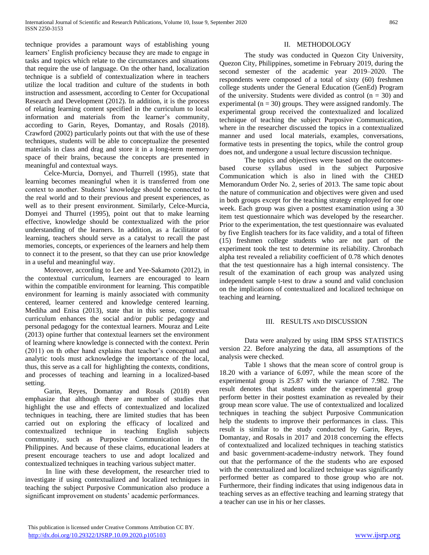technique provides a paramount ways of establishing young learners' English proficiency because they are made to engage in tasks and topics which relate to the circumstances and situations that require the use of language. On the other hand, localization technique is a subfield of contextualization where in teachers utilize the local tradition and culture of the students in both instruction and assessment, according to Center for Occupational Research and Development (2012). In addition, it is the process of relating learning content specified in the curriculum to local information and materials from the learner's community, according to Garin, Reyes, Domantay, and Rosals (2018). Crawford (2002) particularly points out that with the use of these techniques, students will be able to conceptualize the presented materials in class and drag and store it in a long-term memory space of their brains, because the concepts are presented in meaningful and contextual ways.

Celce-Murcia, Dornyei, and Thurrell (1995), state that learning becomes meaningful when it is transferred from one context to another. Students' knowledge should be connected to the real world and to their previous and present experiences, as well as to their present environment. Similarly, Celce-Murcia, Domyei and Thurrel (1995), point out that to make learning effective, knowledge should be contextualized with the prior understanding of the learners. In addition, as a facilitator of learning, teachers should serve as a catalyst to recall the past memories, concepts, or experiences of the learners and help them to connect it to the present, so that they can use prior knowledge in a useful and meaningful way.

Moreover, according to Lee and Yee-Sakamoto (2012), in the contextual curriculum, learners are encouraged to learn within the compatible environment for learning. This compatible environment for learning is mainly associated with community centered, learner centered and knowledge centered learning. Mediha and Enisa (2013), state that in this sense, contextual curriculum enhances the social and/or public pedagogy and personal pedagogy for the contextual learners. Mouraz and Leite (2013) opine further that contextual learners set the environment of learning where knowledge is connected with the context. Perin (2011) on th other hand explains that teacher's conceptual and analytic tools must acknowledge the importance of the local, thus, this serve as a call for highlighting the contexts, conditions, and processes of teaching and learning in a localized-based setting.

Garin, Reyes, Domantay and Rosals (2018) even emphasize that although there are number of studies that highlight the use and effects of contextualized and localized techniques in teaching, there are limited studies that has been carried out on exploring the efficacy of localized and contextualized technique in teaching English subjects community, such as Purposive Communication in the Philippines. And because of these claims, educational leaders at present encourage teachers to use and adopt localized and contextualized techniques in teaching various subject matter.

In line with these development, the researcher tried to investigate if using contextualized and localized techniques in teaching the subject Purposive Communication also produce a significant improvement on students' academic performances.

## II. METHODOLOGY

The study was conducted in Quezon City University, Quezon City, Philippines, sometime in February 2019, during the second semester of the academic year 2019–2020. The respondents were composed of a total of sixty (60) freshmen college students under the General Education (GenEd) Program of the university. Students were divided as control  $(n = 30)$  and experimental ( $n = 30$ ) groups. They were assigned randomly. The experimental group received the contextualized and localized technique of teaching the subject Purposive Communication, where in the researcher discussed the topics in a contextualized manner and used local materials, examples, conversations, formative tests in presenting the topics, while the control group does not, and undergone a usual lecture discussion technique.

The topics and objectives were based on the outcomesbased course syllabus used in the subject Purposive Communication which is also in lined with the CHED Memorandum Order No. 2, series of 2013. The same topic about the nature of communication and objectives were given and used in both groups except for the teaching strategy employed for one week. Each group was given a posttest examination using a 30 item test questionnaire which was developed by the researcher. Prior to the experimentation, the test questionnaire was evaluated by five English teachers for its face validity, and a total of fifteen (15) freshmen college students who are not part of the experiment took the test to determine its reliability. Chronbach alpha test revealed a reliability coefficient of 0.78 which denotes that the test questionnaire has a high internal consistency. The result of the examination of each group was analyzed using independent sample t-test to draw a sound and valid conclusion on the implications of contextualized and localized technique on teaching and learning.

### III. RESULTS AND DISCUSSION

Data were analyzed by using IBM SPSS STATISTICS version 22. Before analyzing the data, all assumptions of the analysis were checked.

Table 1 shows that the mean score of control group is 18.20 with a variance of 6.097, while the mean score of the experimental group is 25.87 with the variance of 7.982. The result denotes that students under the experimental group perform better in their posttest examination as revealed by their group mean score value. The use of contextualized and localized techniques in teaching the subject Purposive Communication help the students to improve their performances in class. This result is similar to the study conducted by Garin, Reyes, Domantay, and Rosals in 2017 and 2018 concerning the effects of contextualized and localized techniques in teaching statistics and basic government-academe-industry network. They found out that the performance of the the students who are exposed with the contextualized and localized technique was significantly performed better as compared to those group who are not. Furthermore, their finding indicates that using indigenous data in teaching serves as an effective teaching and learning strategy that a teacher can use in his or her classes.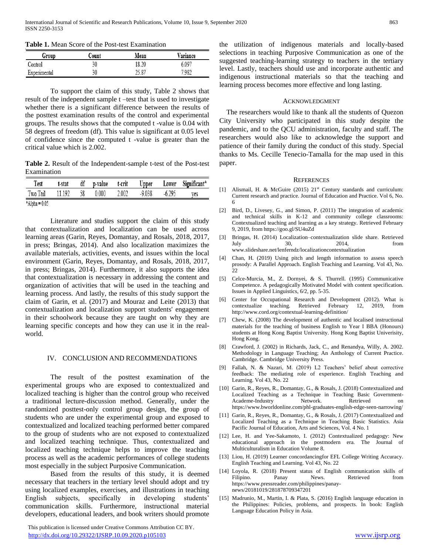**Table 1.** Mean Score of the Post-test Examination

| Group        | Count | Mean  | Variance |  |  |
|--------------|-------|-------|----------|--|--|
| Control      | 30    | 18.20 | 5.097    |  |  |
| Experimental | 30    | 25.87 | 7.982    |  |  |

To support the claim of this study, Table 2 shows that result of the independent sample t –test that is used to investigate whether there is a significant difference between the results of the posttest examination results of the control and experimental groups. The results shows that the computed t -value is 0.04 with 58 degrees of freedom (df). This value is significant at 0.05 level of confidence since the computed t -value is greater than the critical value which is 2.002.

**Table 2.** Result of the Independent-sample t-test of the Post-test Examination

| Test            | t-stat | df | p-value | t-crit | Upper    | Lower   | Significant* |
|-----------------|--------|----|---------|--------|----------|---------|--------------|
| Two Tail        | .192   | 58 | 0.000   | 2.002  | $-9.038$ | $-6.29$ | ves          |
| $*Alpha = 0.05$ |        |    |         |        |          |         |              |

Literature and studies support the claim of this study that contextualization and localization can be used across learning areas (Garin, Reyes, Domantay, and Rosals, 2018, 2017, in press; Bringas, 2014). And also localization maximizes the available materials, activities, events, and issues within the local environment (Garin, Reyes, Domantay, and Rosals, 2018, 2017, in press; Bringas, 2014). Furthermore, it also supports the idea that contextualization is necessary in addressing the content and organization of activities that will be used in the teaching and learning process. And lastly, the results of this study support the claim of Garin, et al. (2017) and Mouraz and Leite (2013) that contextualization and localization support students' engagement in their schoolwork because they are taught on why they are learning specific concepts and how they can use it in the realworld.

## IV. CONCLUSION AND RECOMMENDATIONS

The result of the posttest examination of the experimental groups who are exposed to contextualized and localized teaching is higher than the control group who received a traditional lecture-discussion method. Generally, under the randomized posttest-only control group design, the group of students who are under the experimental group and exposed to contextualized and localized teaching performed better compared to the group of students who are not exposed to contextualized and localized teaching technique. Thus, contextualized and localized teaching technique helps to improve the teaching process as well as the academic performances of college students most especially in the subject Purposive Communication.

Based from the results of this study, it is deemed necessary that teachers in the tertiary level should adopt and try using localized examples, exercises, and illustrations in teaching English subjects, specifically in developing students' communication skills. Furthermore, instructional material developers, educational leaders, and book writers should promote

 This publication is licensed under Creative Commons Attribution CC BY. <http://dx.doi.org/10.29322/IJSRP.10.09.2020.p105103> [www.ijsrp.org](http://ijsrp.org/)

the utilization of indigenous materials and locally-based selections in teaching Purposive Communication as one of the suggested teaching-learning strategy to teachers in the tertiary level. Lastly, teachers should use and incorporate authentic and indigenous instructional materials so that the teaching and learning process becomes more effective and long lasting.

#### ACKNOWLEDGMENT

The researchers would like to thank all the students of Quezon City University who participated in this study despite the pandemic, and to the QCU administration, faculty and staff. The researchers would also like to acknowledge the support and patience of their family during the conduct of this study. Special thanks to Ms. Cecille Tenecio-Tamalla for the map used in this paper.

#### **REFERENCES**

- [1] Alismail, H. & McGuire (2015) 21<sup>st</sup> Century standards and curriculum: Current research and practice. Journal of Education and Practice. Vol 6, No. 6
- [2] Bird, D., Livesey, G., and Simon, P. (2011) The integration of academic and technical skills in K-12 and community college classrooms: Contextualized teaching and learning as a key strategy. Retrieved February 9, 2019, from https://goo.gl/SU4uZd
- [3] Bringas, H. (2014) Localization–contextualization slide share. Retrieved July 30, 2014, from www.slideshare.net/lenferndz/localizationcontextualization
- [4] Chan, H. (2019) Using pitch and length information to assess speech prosody: A Parallel Approach. English Teaching and Learning. Vol 43, No.  $22$
- [5] Celce-Murcia, M., Z. Dornyei, & S. Thurrell. (1995) Communicative Competence. A pedagogically Motivated Model with content specification. Issues in Applied Linguistics, 6/2, pp. 5-35.
- [6] Center for Occupational Research and Development (2012). What is contextualize teaching. Retrieved February 12, 2019, from http://www.cord.org/contextual-learning-definition/
- [7] Chew, K. (2008) The development of authentic and localised instructional materials for the teaching of business English to Year I BBA (Honours) students at Hong Kong Baptist University. Hong Kong Baptist Univerisity, Hong Kong.
- [8] Crawford, J. (2002) in Richards, Jack, C., and Renandya, Willy, A. 2002. Methodology in Language Teaching; An Anthology of Current Practice. Cambridge. Cambridge University Press.
- [9] Fallah, N. & Nazari, M. (2019) L2 Teachers' belief about corrective feedback: The mediating role of experience. English Teaching and Learning. Vol 43, No. 22
- [10] Garin, R., Reyes, R., Domantay, G., & Rosals, J. (2018) Contextualized and Localized Teaching as a Technique in Teaching Basic Government-Academe-Industry Network. Retrieved on https://www.bworldonline.com/phl-graduates-english-edge-seen-narrowing/
- [11] Garin, R., Reyes, R., Domantay, G., & Rosals, J. (2017) Contextualized and Localized Teaching as a Technique in Teaching Basic Statistics. Asia Pacific Journal of Education, Arts and Sciences, Vol. 4 No. 1
- [12] Lee, H. and Yee-Sakamoto, I. (2012) Contextualized pedagogy: New educational approach in the postmodern era. The Journal of Multiculturalism in Education Volume 8.
- [13] Liou, H. (2019) Learner concordancingfor EFL College Writing Accuracy. English Teaching and Learning. Vol 43, No. 22
- [14] Loyola, R. (2018) Present status of English communication skills of Filipino. Panay News. Retrieved from https://www.pressreader.com/philippines/panaynews/20181019/281878709347201
- [15] Madrunio, M., Martin, I. & Plata, S. (2016) English language education in the Philippines: Policies, problems, and prospects. In book: English Language Education Policy in Asia.